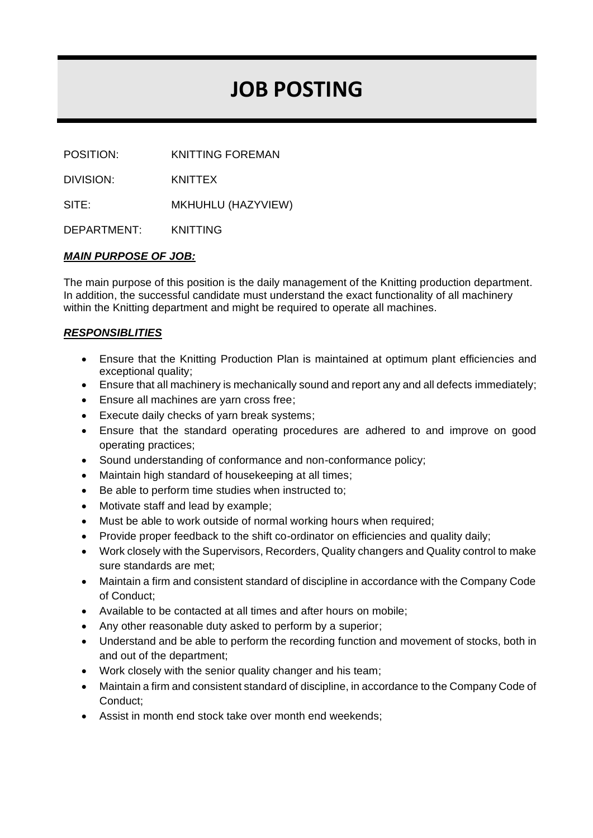# **JOB POSTING**

POSITION: KNITTING FOREMAN

DIVISION: KNITTEX

SITE: MKHUHLU (HAZYVIEW)

DEPARTMENT: KNITTING

## *MAIN PURPOSE OF JOB:*

The main purpose of this position is the daily management of the Knitting production department. In addition, the successful candidate must understand the exact functionality of all machinery within the Knitting department and might be required to operate all machines.

## *RESPONSIBLITIES*

- Ensure that the Knitting Production Plan is maintained at optimum plant efficiencies and exceptional quality;
- Ensure that all machinery is mechanically sound and report any and all defects immediately;
- Ensure all machines are yarn cross free;
- Execute daily checks of yarn break systems;
- Ensure that the standard operating procedures are adhered to and improve on good operating practices;
- Sound understanding of conformance and non-conformance policy;
- Maintain high standard of housekeeping at all times;
- Be able to perform time studies when instructed to;
- Motivate staff and lead by example;
- Must be able to work outside of normal working hours when required;
- Provide proper feedback to the shift co-ordinator on efficiencies and quality daily;
- Work closely with the Supervisors, Recorders, Quality changers and Quality control to make sure standards are met;
- Maintain a firm and consistent standard of discipline in accordance with the Company Code of Conduct;
- Available to be contacted at all times and after hours on mobile;
- Any other reasonable duty asked to perform by a superior;
- Understand and be able to perform the recording function and movement of stocks, both in and out of the department;
- Work closely with the senior quality changer and his team;
- Maintain a firm and consistent standard of discipline, in accordance to the Company Code of Conduct;
- Assist in month end stock take over month end weekends;